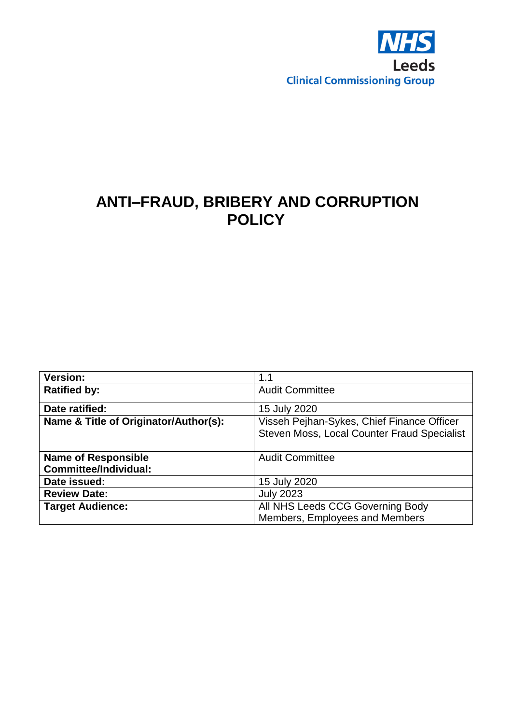

## **ANTI–FRAUD, BRIBERY AND CORRUPTION POLICY**

| <b>Version:</b>                       | 1.1                                         |
|---------------------------------------|---------------------------------------------|
| <b>Ratified by:</b>                   | <b>Audit Committee</b>                      |
| Date ratified:                        | 15 July 2020                                |
| Name & Title of Originator/Author(s): | Visseh Pejhan-Sykes, Chief Finance Officer  |
|                                       | Steven Moss, Local Counter Fraud Specialist |
|                                       |                                             |
| <b>Name of Responsible</b>            | <b>Audit Committee</b>                      |
| <b>Committee/Individual:</b>          |                                             |
| Date issued:                          | 15 July 2020                                |
| <b>Review Date:</b>                   | <b>July 2023</b>                            |
| <b>Target Audience:</b>               | All NHS Leeds CCG Governing Body            |
|                                       | Members, Employees and Members              |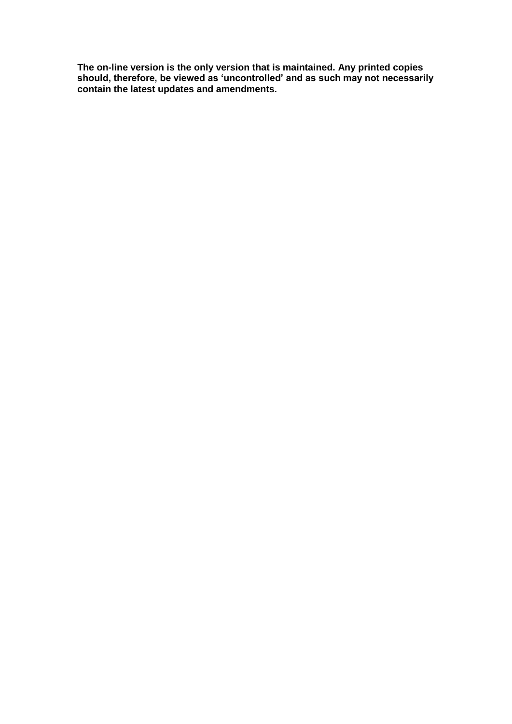**The on-line version is the only version that is maintained. Any printed copies should, therefore, be viewed as 'uncontrolled' and as such may not necessarily contain the latest updates and amendments.**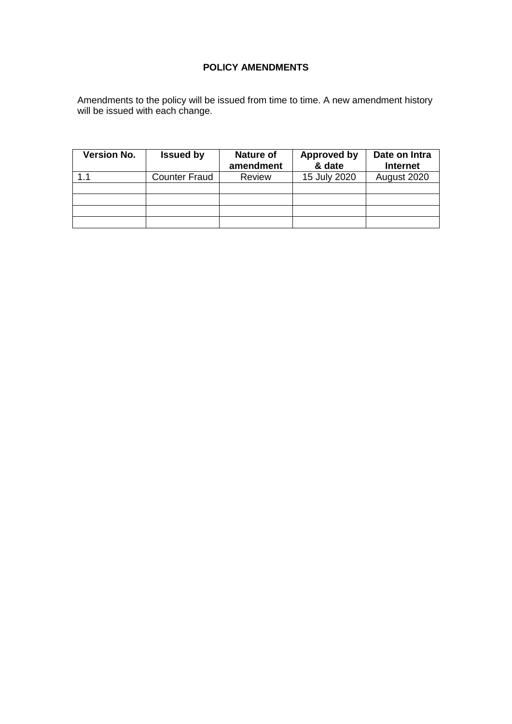## **POLICY AMENDMENTS**

Amendments to the policy will be issued from time to time. A new amendment history will be issued with each change.

| <b>Version No.</b> | <b>Issued by</b> | Nature of<br>amendment | <b>Approved by</b><br>& date | Date on Intra<br><b>Internet</b> |  |
|--------------------|------------------|------------------------|------------------------------|----------------------------------|--|
| 11                 | Counter Fraud    | <b>Review</b>          | 15 July 2020                 | August 2020                      |  |
|                    |                  |                        |                              |                                  |  |
|                    |                  |                        |                              |                                  |  |
|                    |                  |                        |                              |                                  |  |
|                    |                  |                        |                              |                                  |  |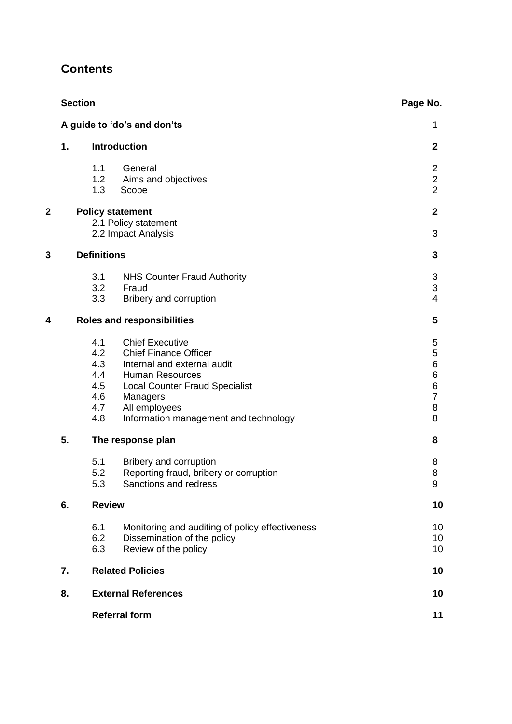|                |                                                                        | <b>Section</b>                                       |                                                                                                                                                                                                                                | Page No.                                                                  |
|----------------|------------------------------------------------------------------------|------------------------------------------------------|--------------------------------------------------------------------------------------------------------------------------------------------------------------------------------------------------------------------------------|---------------------------------------------------------------------------|
|                |                                                                        | A guide to 'do's and don'ts                          | 1                                                                                                                                                                                                                              |                                                                           |
|                | 1.                                                                     | <b>Introduction</b>                                  | $\mathbf{2}$                                                                                                                                                                                                                   |                                                                           |
|                |                                                                        | 1.1<br>1.2<br>1.3                                    | General<br>Aims and objectives<br>Scope                                                                                                                                                                                        | $\overline{2}$<br>$\overline{2}$<br>$\overline{2}$                        |
| $\overline{2}$ | <b>Policy statement</b><br>2.1 Policy statement<br>2.2 Impact Analysis |                                                      |                                                                                                                                                                                                                                | $\mathbf{2}$<br>3                                                         |
| 3              | <b>Definitions</b>                                                     |                                                      | 3                                                                                                                                                                                                                              |                                                                           |
|                |                                                                        | 3.1<br>3.2<br>3.3                                    | <b>NHS Counter Fraud Authority</b><br>Fraud<br>Bribery and corruption                                                                                                                                                          | 3<br>$\mathfrak{S}$<br>$\overline{4}$                                     |
| 4              |                                                                        |                                                      | <b>Roles and responsibilities</b>                                                                                                                                                                                              | 5                                                                         |
|                |                                                                        | 4.1<br>4.2<br>4.3<br>4.4<br>4.5<br>4.6<br>4.7<br>4.8 | <b>Chief Executive</b><br><b>Chief Finance Officer</b><br>Internal and external audit<br><b>Human Resources</b><br><b>Local Counter Fraud Specialist</b><br>Managers<br>All employees<br>Information management and technology | 5<br>$\mathbf 5$<br>$\,6\,$<br>$\,6$<br>$\,6$<br>$\overline{7}$<br>8<br>8 |
|                | 5.<br>The response plan                                                |                                                      | 8                                                                                                                                                                                                                              |                                                                           |
|                |                                                                        | 5.1<br>5.2<br>5.3                                    | Bribery and corruption<br>Reporting fraud, bribery or corruption<br>Sanctions and redress                                                                                                                                      | 8<br>8<br>9                                                               |
|                | 6.<br><b>Review</b>                                                    |                                                      | 10                                                                                                                                                                                                                             |                                                                           |
|                |                                                                        | 6.1<br>6.2<br>6.3                                    | Monitoring and auditing of policy effectiveness<br>Dissemination of the policy<br>Review of the policy                                                                                                                         | 10<br>10<br>10                                                            |
|                | <b>Related Policies</b><br>7.                                          |                                                      | 10                                                                                                                                                                                                                             |                                                                           |
|                | 8.                                                                     |                                                      | <b>External References</b>                                                                                                                                                                                                     | 10                                                                        |
|                |                                                                        |                                                      | <b>Referral form</b>                                                                                                                                                                                                           | 11                                                                        |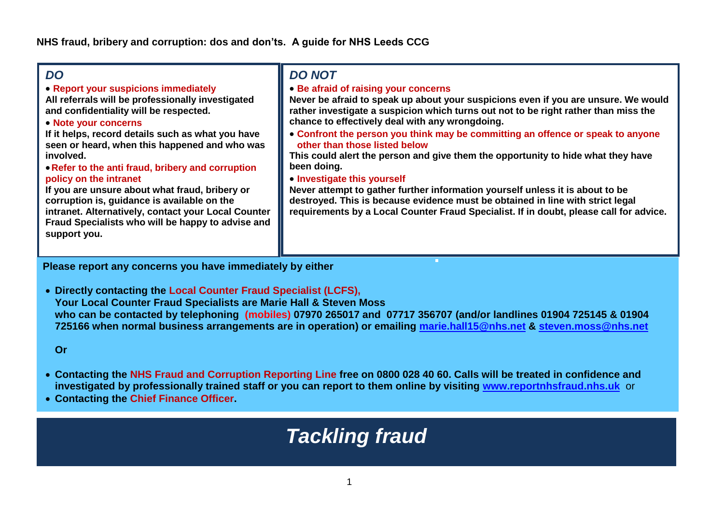#### **FORM 1 FORM 1 FORM 1** *DO*

**Report your suspicions immediately**

**All referrals will be professionally investigated and confidentiality will be respected.**

**Note your concerns**

**If it helps, record details such as what you have seen or heard, when this happened and who was involved.** 

#### **Refer to the anti fraud, bribery and corruption policy on the intranet**

**If you are unsure about what fraud, bribery or corruption is, guidance is available on the intranet. Alternatively, contact your Local Counter Fraud Specialists who will be happy to advise and support you.**

## *DO NOT*

**Be afraid of raising your concerns**

**Never be afraid to speak up about your suspicions even if you are unsure. We would rather investigate a suspicion which turns out not to be right rather than miss the chance to effectively deal with any wrongdoing.**

 **Confront the person you think may be committing an offence or speak to anyone other than those listed below**

**This could alert the person and give them the opportunity to hide what they have been doing.**

## **Investigate this yourself**

**Never attempt to gather further information yourself unless it is about to be destroyed. This is because evidence must be obtained in line with strict legal requirements by a Local Counter Fraud Specialist. If in doubt, please call for advice.**

**Please report any concerns you have immediately by either**

 **Directly contacting the Local Counter Fraud Specialist (LCFS), Your Local Counter Fraud Specialists are Marie Hall & Steven Moss who can be contacted by telephoning (mobiles) 07970 265017 and 07717 356707 (and/or landlines 01904 725145 & 01904 725166 when normal business arrangements are in operation) or emailing [marie.hall15@nhs.net](mailto:marie.hall15@nhs.net) & [steven.moss@nhs.net](mailto:steven.moss@nhs.net)**

**Or**

- **Contacting the NHS Fraud and Corruption Reporting Line free on 0800 028 40 60. Calls will be treated in confidence and investigated by professionally trained staff or you can report to them online by visiting [www.reportnhsfraud.nhs.uk](http://www.reportnhsfraud.nhs.uk/)** or
- **Contacting the Chief Finance Officer.**

# *Tackling fraud*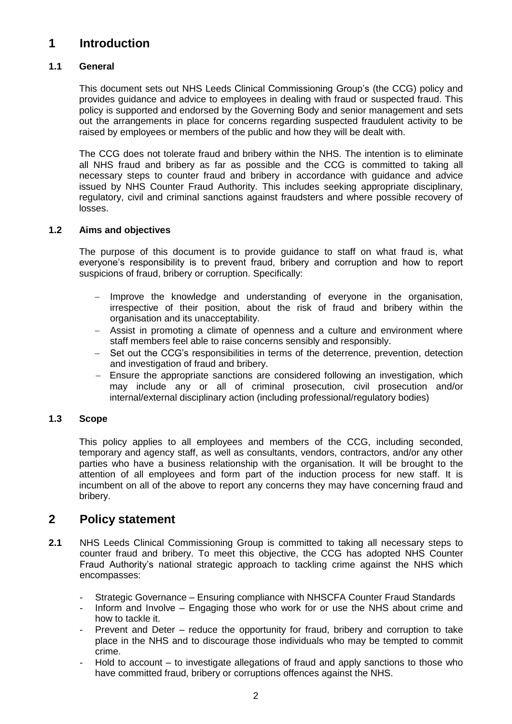## **1 Introduction**

#### **1.1 General**

This document sets out NHS Leeds Clinical Commissioning Group's (the CCG) policy and provides guidance and advice to employees in dealing with fraud or suspected fraud. This policy is supported and endorsed by the Governing Body and senior management and sets out the arrangements in place for concerns regarding suspected fraudulent activity to be raised by employees or members of the public and how they will be dealt with.

The CCG does not tolerate fraud and bribery within the NHS. The intention is to eliminate all NHS fraud and bribery as far as possible and the CCG is committed to taking all necessary steps to counter fraud and bribery in accordance with guidance and advice issued by NHS Counter Fraud Authority. This includes seeking appropriate disciplinary, regulatory, civil and criminal sanctions against fraudsters and where possible recovery of losses.

#### **1.2 Aims and objectives**

The purpose of this document is to provide guidance to staff on what fraud is, what everyone's responsibility is to prevent fraud, bribery and corruption and how to report suspicions of fraud, bribery or corruption. Specifically:

- $-$  Improve the knowledge and understanding of everyone in the organisation, irrespective of their position, about the risk of fraud and bribery within the organisation and its unacceptability.
- Assist in promoting a climate of openness and a culture and environment where staff members feel able to raise concerns sensibly and responsibly.
- Set out the CCG's responsibilities in terms of the deterrence, prevention, detection and investigation of fraud and bribery.
- Ensure the appropriate sanctions are considered following an investigation, which may include any or all of criminal prosecution, civil prosecution and/or internal/external disciplinary action (including professional/regulatory bodies)

#### **1.3 Scope**

This policy applies to all employees and members of the CCG, including seconded, temporary and agency staff, as well as consultants, vendors, contractors, and/or any other parties who have a business relationship with the organisation. It will be brought to the attention of all employees and form part of the induction process for new staff. It is incumbent on all of the above to report any concerns they may have concerning fraud and bribery.

## **2 Policy statement**

- **2.1** NHS Leeds Clinical Commissioning Group is committed to taking all necessary steps to counter fraud and bribery. To meet this objective, the CCG has adopted NHS Counter Fraud Authority's national strategic approach to tackling crime against the NHS which encompasses:
	- Strategic Governance Ensuring compliance with NHSCFA Counter Fraud Standards
	- Inform and Involve Engaging those who work for or use the NHS about crime and how to tackle it.
	- Prevent and Deter reduce the opportunity for fraud, bribery and corruption to take place in the NHS and to discourage those individuals who may be tempted to commit crime.
	- Hold to account  $-$  to investigate allegations of fraud and apply sanctions to those who have committed fraud, bribery or corruptions offences against the NHS.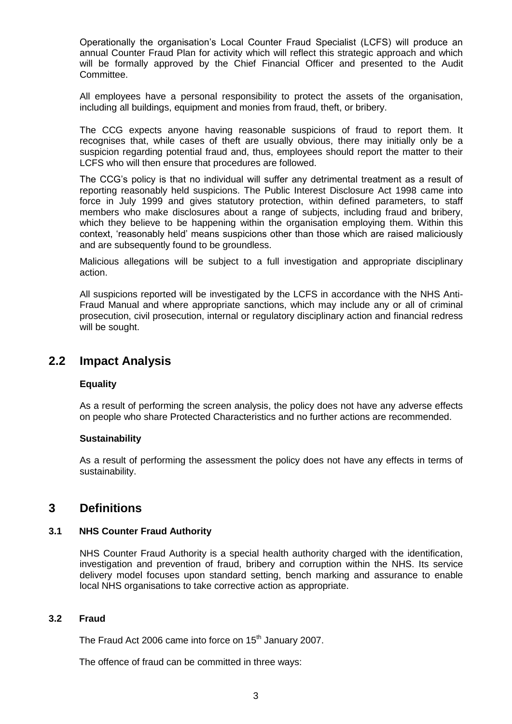Operationally the organisation's Local Counter Fraud Specialist (LCFS) will produce an annual Counter Fraud Plan for activity which will reflect this strategic approach and which will be formally approved by the Chief Financial Officer and presented to the Audit Committee.

All employees have a personal responsibility to protect the assets of the organisation, including all buildings, equipment and monies from fraud, theft, or bribery.

The CCG expects anyone having reasonable suspicions of fraud to report them. It recognises that, while cases of theft are usually obvious, there may initially only be a suspicion regarding potential fraud and, thus, employees should report the matter to their LCFS who will then ensure that procedures are followed.

The CCG's policy is that no individual will suffer any detrimental treatment as a result of reporting reasonably held suspicions. The Public Interest Disclosure Act 1998 came into force in July 1999 and gives statutory protection, within defined parameters, to staff members who make disclosures about a range of subjects, including fraud and bribery, which they believe to be happening within the organisation employing them. Within this context, 'reasonably held' means suspicions other than those which are raised maliciously and are subsequently found to be groundless.

Malicious allegations will be subject to a full investigation and appropriate disciplinary action.

All suspicions reported will be investigated by the LCFS in accordance with the NHS Anti-Fraud Manual and where appropriate sanctions, which may include any or all of criminal prosecution, civil prosecution, internal or regulatory disciplinary action and financial redress will be sought.

## **2.2 Impact Analysis**

#### **Equality**

As a result of performing the screen analysis, the policy does not have any adverse effects on people who share Protected Characteristics and no further actions are recommended.

#### **Sustainability**

As a result of performing the assessment the policy does not have any effects in terms of sustainability.

## **3 Definitions**

#### **3.1 NHS Counter Fraud Authority**

NHS Counter Fraud Authority is a special health authority charged with the identification, investigation and prevention of fraud, bribery and corruption within the NHS. Its service delivery model focuses upon standard setting, bench marking and assurance to enable local NHS organisations to take corrective action as appropriate.

#### **3.2 Fraud**

The Fraud Act 2006 came into force on  $15<sup>th</sup>$  January 2007.

The offence of fraud can be committed in three ways: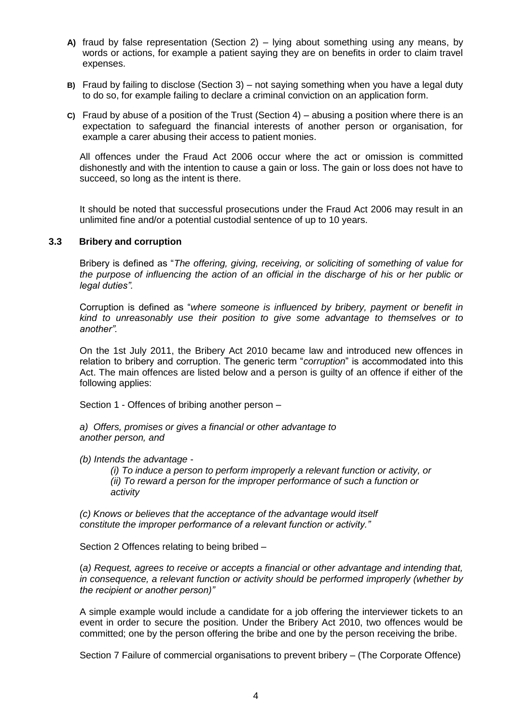- **A)** fraud by false representation (Section 2) lying about something using any means, by words or actions, for example a patient saying they are on benefits in order to claim travel expenses.
- **B)** Fraud by failing to disclose (Section 3) not saying something when you have a legal duty to do so, for example failing to declare a criminal conviction on an application form.
- **C)** Fraud by abuse of a position of the Trust (Section 4) abusing a position where there is an expectation to safeguard the financial interests of another person or organisation, for example a carer abusing their access to patient monies.

All offences under the Fraud Act 2006 occur where the act or omission is committed dishonestly and with the intention to cause a gain or loss. The gain or loss does not have to succeed, so long as the intent is there.

It should be noted that successful prosecutions under the Fraud Act 2006 may result in an unlimited fine and/or a potential custodial sentence of up to 10 years.

#### **3.3 Bribery and corruption**

Bribery is defined as "*The offering, giving, receiving, or soliciting of something of value for the purpose of influencing the action of an official in the discharge of his or her public or legal duties".*

Corruption is defined as "*where someone is influenced by bribery, payment or benefit in kind to unreasonably use their position to give some advantage to themselves or to another".*

On the 1st July 2011, the Bribery Act 2010 became law and introduced new offences in relation to bribery and corruption. The generic term "*corruption*" is accommodated into this Act. The main offences are listed below and a person is guilty of an offence if either of the following applies:

Section 1 - Offences of bribing another person –

*a) Offers, promises or gives a financial or other advantage to another person, and*

*(b) Intends the advantage -*

*(i) To induce a person to perform improperly a relevant function or activity, or (ii) To reward a person for the improper performance of such a function or activity*

*(c) Knows or believes that the acceptance of the advantage would itself constitute the improper performance of a relevant function or activity."*

Section 2 Offences relating to being bribed –

(*a) Request, agrees to receive or accepts a financial or other advantage and intending that, in consequence, a relevant function or activity should be performed improperly (whether by the recipient or another person)"*

A simple example would include a candidate for a job offering the interviewer tickets to an event in order to secure the position. Under the Bribery Act 2010, two offences would be committed; one by the person offering the bribe and one by the person receiving the bribe.

Section 7 Failure of commercial organisations to prevent bribery – (The Corporate Offence)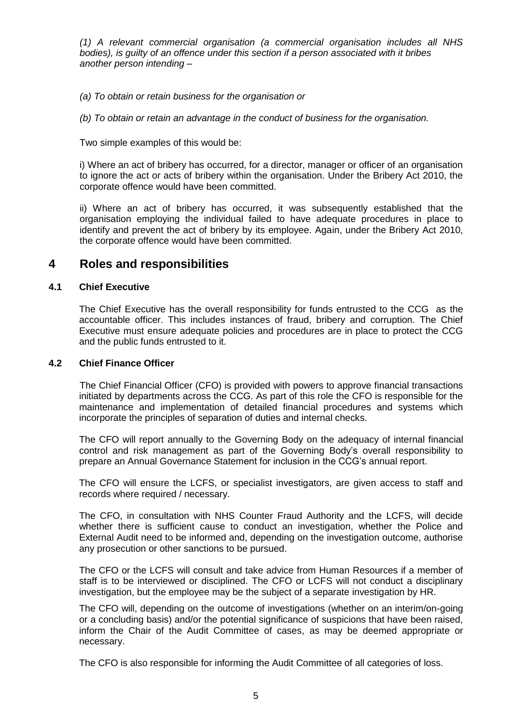*(1) A relevant commercial organisation (a commercial organisation includes all NHS bodies), is guilty of an offence under this section if a person associated with it bribes another person intending –*

*(a) To obtain or retain business for the organisation or*

*(b) To obtain or retain an advantage in the conduct of business for the organisation.*

Two simple examples of this would be:

i) Where an act of bribery has occurred, for a director, manager or officer of an organisation to ignore the act or acts of bribery within the organisation. Under the Bribery Act 2010, the corporate offence would have been committed.

ii) Where an act of bribery has occurred, it was subsequently established that the organisation employing the individual failed to have adequate procedures in place to identify and prevent the act of bribery by its employee. Again, under the Bribery Act 2010, the corporate offence would have been committed.

## **4 Roles and responsibilities**

#### **4.1 Chief Executive**

The Chief Executive has the overall responsibility for funds entrusted to the CCG as the accountable officer. This includes instances of fraud, bribery and corruption. The Chief Executive must ensure adequate policies and procedures are in place to protect the CCG and the public funds entrusted to it.

#### **4.2 Chief Finance Officer**

The Chief Financial Officer (CFO) is provided with powers to approve financial transactions initiated by departments across the CCG. As part of this role the CFO is responsible for the maintenance and implementation of detailed financial procedures and systems which incorporate the principles of separation of duties and internal checks.

The CFO will report annually to the Governing Body on the adequacy of internal financial control and risk management as part of the Governing Body's overall responsibility to prepare an Annual Governance Statement for inclusion in the CCG's annual report.

The CFO will ensure the LCFS, or specialist investigators, are given access to staff and records where required / necessary.

The CFO, in consultation with NHS Counter Fraud Authority and the LCFS, will decide whether there is sufficient cause to conduct an investigation, whether the Police and External Audit need to be informed and, depending on the investigation outcome, authorise any prosecution or other sanctions to be pursued.

The CFO or the LCFS will consult and take advice from Human Resources if a member of staff is to be interviewed or disciplined. The CFO or LCFS will not conduct a disciplinary investigation, but the employee may be the subject of a separate investigation by HR.

The CFO will, depending on the outcome of investigations (whether on an interim/on-going or a concluding basis) and/or the potential significance of suspicions that have been raised, inform the Chair of the Audit Committee of cases, as may be deemed appropriate or necessary.

The CFO is also responsible for informing the Audit Committee of all categories of loss.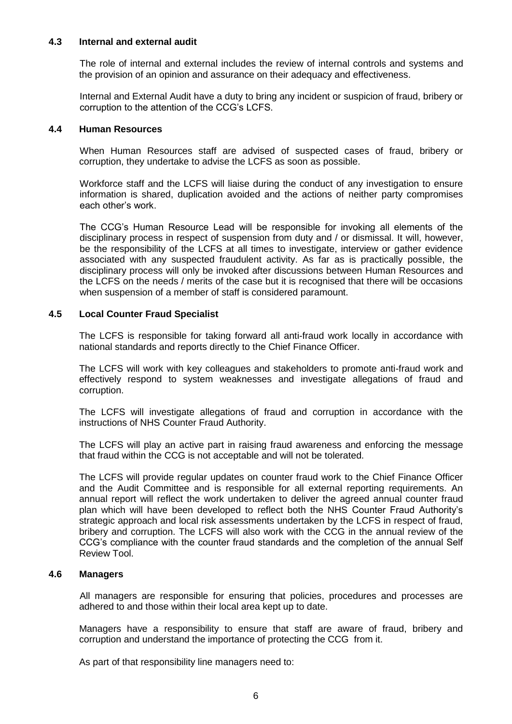#### **4.3 Internal and external audit**

The role of internal and external includes the review of internal controls and systems and the provision of an opinion and assurance on their adequacy and effectiveness.

Internal and External Audit have a duty to bring any incident or suspicion of fraud, bribery or corruption to the attention of the CCG's LCFS.

#### **4.4 Human Resources**

When Human Resources staff are advised of suspected cases of fraud, bribery or corruption, they undertake to advise the LCFS as soon as possible.

Workforce staff and the LCFS will liaise during the conduct of any investigation to ensure information is shared, duplication avoided and the actions of neither party compromises each other's work.

The CCG's Human Resource Lead will be responsible for invoking all elements of the disciplinary process in respect of suspension from duty and / or dismissal. It will, however, be the responsibility of the LCFS at all times to investigate, interview or gather evidence associated with any suspected fraudulent activity. As far as is practically possible, the disciplinary process will only be invoked after discussions between Human Resources and the LCFS on the needs / merits of the case but it is recognised that there will be occasions when suspension of a member of staff is considered paramount.

#### **4.5 Local Counter Fraud Specialist**

The LCFS is responsible for taking forward all anti-fraud work locally in accordance with national standards and reports directly to the Chief Finance Officer.

The LCFS will work with key colleagues and stakeholders to promote anti-fraud work and effectively respond to system weaknesses and investigate allegations of fraud and corruption.

The LCFS will investigate allegations of fraud and corruption in accordance with the instructions of NHS Counter Fraud Authority.

The LCFS will play an active part in raising fraud awareness and enforcing the message that fraud within the CCG is not acceptable and will not be tolerated.

The LCFS will provide regular updates on counter fraud work to the Chief Finance Officer and the Audit Committee and is responsible for all external reporting requirements. An annual report will reflect the work undertaken to deliver the agreed annual counter fraud plan which will have been developed to reflect both the NHS Counter Fraud Authority's strategic approach and local risk assessments undertaken by the LCFS in respect of fraud, bribery and corruption. The LCFS will also work with the CCG in the annual review of the CCG's compliance with the counter fraud standards and the completion of the annual Self Review Tool.

#### **4.6 Managers**

All managers are responsible for ensuring that policies, procedures and processes are adhered to and those within their local area kept up to date.

Managers have a responsibility to ensure that staff are aware of fraud, bribery and corruption and understand the importance of protecting the CCG from it.

As part of that responsibility line managers need to: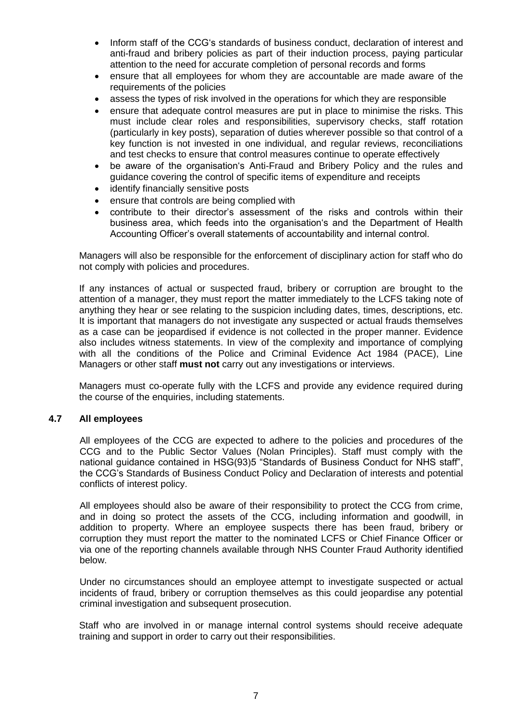- Inform staff of the CCG's standards of business conduct, declaration of interest and anti-fraud and bribery policies as part of their induction process, paying particular attention to the need for accurate completion of personal records and forms
- ensure that all employees for whom they are accountable are made aware of the requirements of the policies
- assess the types of risk involved in the operations for which they are responsible
- ensure that adequate control measures are put in place to minimise the risks. This must include clear roles and responsibilities, supervisory checks, staff rotation (particularly in key posts), separation of duties wherever possible so that control of a key function is not invested in one individual, and regular reviews, reconciliations and test checks to ensure that control measures continue to operate effectively
- be aware of the organisation's Anti-Fraud and Bribery Policy and the rules and guidance covering the control of specific items of expenditure and receipts
- identify financially sensitive posts
- ensure that controls are being complied with
- contribute to their director's assessment of the risks and controls within their business area, which feeds into the organisation's and the Department of Health Accounting Officer's overall statements of accountability and internal control.

Managers will also be responsible for the enforcement of disciplinary action for staff who do not comply with policies and procedures.

If any instances of actual or suspected fraud, bribery or corruption are brought to the attention of a manager, they must report the matter immediately to the LCFS taking note of anything they hear or see relating to the suspicion including dates, times, descriptions, etc. It is important that managers do not investigate any suspected or actual frauds themselves as a case can be jeopardised if evidence is not collected in the proper manner. Evidence also includes witness statements. In view of the complexity and importance of complying with all the conditions of the Police and Criminal Evidence Act 1984 (PACE), Line Managers or other staff **must not** carry out any investigations or interviews.

Managers must co-operate fully with the LCFS and provide any evidence required during the course of the enquiries, including statements.

#### **4.7 All employees**

All employees of the CCG are expected to adhere to the policies and procedures of the CCG and to the Public Sector Values (Nolan Principles). Staff must comply with the national guidance contained in HSG(93)5 "Standards of Business Conduct for NHS staff", the CCG's Standards of Business Conduct Policy and Declaration of interests and potential conflicts of interest policy.

All employees should also be aware of their responsibility to protect the CCG from crime, and in doing so protect the assets of the CCG, including information and goodwill, in addition to property. Where an employee suspects there has been fraud, bribery or corruption they must report the matter to the nominated LCFS or Chief Finance Officer or via one of the reporting channels available through NHS Counter Fraud Authority identified below.

Under no circumstances should an employee attempt to investigate suspected or actual incidents of fraud, bribery or corruption themselves as this could jeopardise any potential criminal investigation and subsequent prosecution.

Staff who are involved in or manage internal control systems should receive adequate training and support in order to carry out their responsibilities.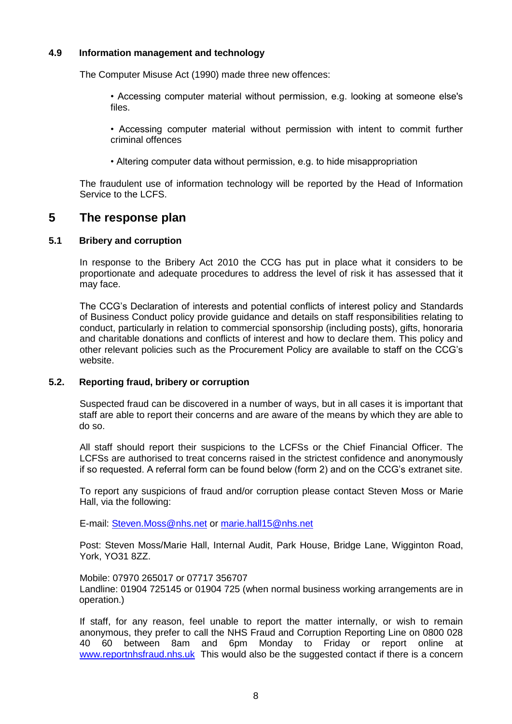#### **4.9 Information management and technology**

The Computer Misuse Act (1990) made three new offences:

• Accessing computer material without permission, e.g. looking at someone else's files.

• Accessing computer material without permission with intent to commit further criminal offences

• Altering computer data without permission, e.g. to hide misappropriation

The fraudulent use of information technology will be reported by the Head of Information Service to the LCFS.

## **5 The response plan**

#### **5.1 Bribery and corruption**

In response to the Bribery Act 2010 the CCG has put in place what it considers to be proportionate and adequate procedures to address the level of risk it has assessed that it may face.

The CCG's Declaration of interests and potential conflicts of interest policy and Standards of Business Conduct policy provide guidance and details on staff responsibilities relating to conduct, particularly in relation to commercial sponsorship (including posts), gifts, honoraria and charitable donations and conflicts of interest and how to declare them. This policy and other relevant policies such as the Procurement Policy are available to staff on the CCG's website.

#### **5.2. Reporting fraud, bribery or corruption**

Suspected fraud can be discovered in a number of ways, but in all cases it is important that staff are able to report their concerns and are aware of the means by which they are able to do so.

All staff should report their suspicions to the LCFSs or the Chief Financial Officer. The LCFSs are authorised to treat concerns raised in the strictest confidence and anonymously if so requested. A referral form can be found below (form 2) and on the CCG's extranet site.

To report any suspicions of fraud and/or corruption please contact Steven Moss or Marie Hall, via the following:

E-mail: [Steven.Moss@nhs.net](mailto:Steven.Moss@nhs.net) or [marie.hall15@nhs.net](mailto:marie.hall15@nhs.net)

Post: Steven Moss/Marie Hall, Internal Audit, Park House, Bridge Lane, Wigginton Road, York, YO31 8ZZ.

Mobile: 07970 265017 or 07717 356707

Landline: 01904 725145 or 01904 725 (when normal business working arrangements are in operation.)

If staff, for any reason, feel unable to report the matter internally, or wish to remain anonymous, they prefer to call the NHS Fraud and Corruption Reporting Line on 0800 028 40 60 between 8am and 6pm Monday to Friday or report online at [www.reportnhsfraud.nhs.uk](http://www.reportnhsfraud.nhs.uk/) This would also be the suggested contact if there is a concern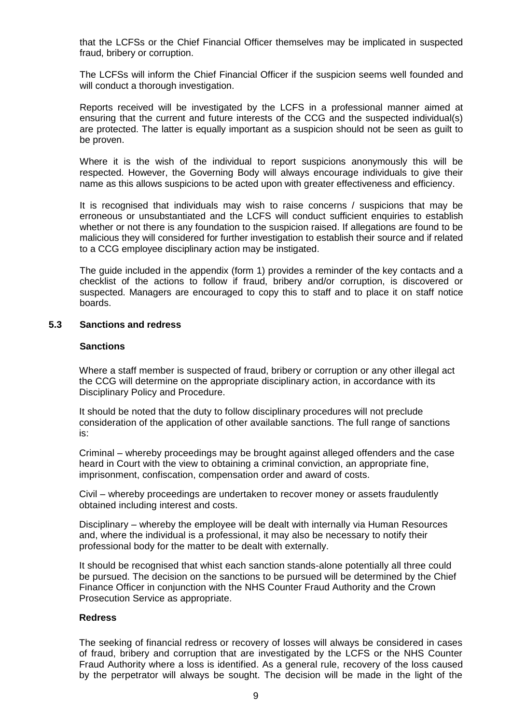that the LCFSs or the Chief Financial Officer themselves may be implicated in suspected fraud, bribery or corruption.

The LCFSs will inform the Chief Financial Officer if the suspicion seems well founded and will conduct a thorough investigation.

Reports received will be investigated by the LCFS in a professional manner aimed at ensuring that the current and future interests of the CCG and the suspected individual(s) are protected. The latter is equally important as a suspicion should not be seen as guilt to be proven.

Where it is the wish of the individual to report suspicions anonymously this will be respected. However, the Governing Body will always encourage individuals to give their name as this allows suspicions to be acted upon with greater effectiveness and efficiency.

It is recognised that individuals may wish to raise concerns / suspicions that may be erroneous or unsubstantiated and the LCFS will conduct sufficient enquiries to establish whether or not there is any foundation to the suspicion raised. If allegations are found to be malicious they will considered for further investigation to establish their source and if related to a CCG employee disciplinary action may be instigated.

The guide included in the appendix (form 1) provides a reminder of the key contacts and a checklist of the actions to follow if fraud, bribery and/or corruption, is discovered or suspected. Managers are encouraged to copy this to staff and to place it on staff notice boards.

#### **5.3 Sanctions and redress**

#### **Sanctions**

Where a staff member is suspected of fraud, bribery or corruption or any other illegal act the CCG will determine on the appropriate disciplinary action, in accordance with its Disciplinary Policy and Procedure.

It should be noted that the duty to follow disciplinary procedures will not preclude consideration of the application of other available sanctions. The full range of sanctions is:

Criminal – whereby proceedings may be brought against alleged offenders and the case heard in Court with the view to obtaining a criminal conviction, an appropriate fine, imprisonment, confiscation, compensation order and award of costs.

Civil – whereby proceedings are undertaken to recover money or assets fraudulently obtained including interest and costs.

Disciplinary – whereby the employee will be dealt with internally via Human Resources and, where the individual is a professional, it may also be necessary to notify their professional body for the matter to be dealt with externally.

It should be recognised that whist each sanction stands-alone potentially all three could be pursued. The decision on the sanctions to be pursued will be determined by the Chief Finance Officer in conjunction with the NHS Counter Fraud Authority and the Crown Prosecution Service as appropriate.

#### **Redress**

The seeking of financial redress or recovery of losses will always be considered in cases of fraud, bribery and corruption that are investigated by the LCFS or the NHS Counter Fraud Authority where a loss is identified. As a general rule, recovery of the loss caused by the perpetrator will always be sought. The decision will be made in the light of the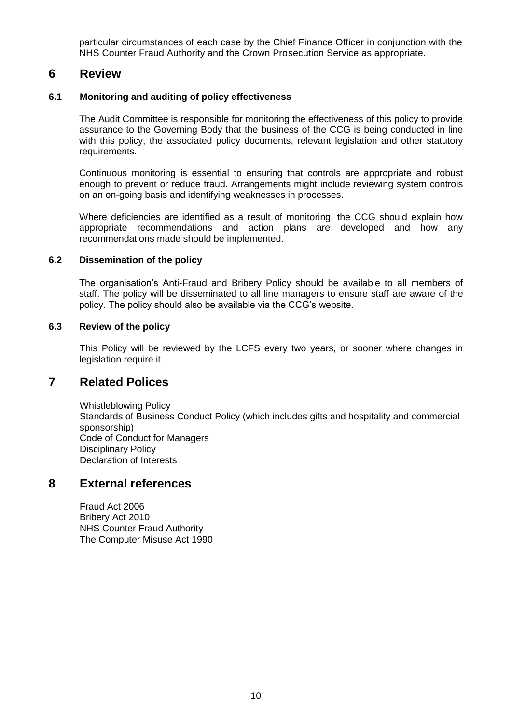particular circumstances of each case by the Chief Finance Officer in conjunction with the NHS Counter Fraud Authority and the Crown Prosecution Service as appropriate.

## **6 Review**

#### **6.1 Monitoring and auditing of policy effectiveness**

The Audit Committee is responsible for monitoring the effectiveness of this policy to provide assurance to the Governing Body that the business of the CCG is being conducted in line with this policy, the associated policy documents, relevant legislation and other statutory requirements.

Continuous monitoring is essential to ensuring that controls are appropriate and robust enough to prevent or reduce fraud. Arrangements might include reviewing system controls on an on-going basis and identifying weaknesses in processes.

Where deficiencies are identified as a result of monitoring, the CCG should explain how appropriate recommendations and action plans are developed and how any recommendations made should be implemented.

#### **6.2 Dissemination of the policy**

The organisation's Anti-Fraud and Bribery Policy should be available to all members of staff. The policy will be disseminated to all line managers to ensure staff are aware of the policy. The policy should also be available via the CCG's website.

#### **6.3 Review of the policy**

This Policy will be reviewed by the LCFS every two years, or sooner where changes in legislation require it.

## **7 Related Polices**

Whistleblowing Policy Standards of Business Conduct Policy (which includes gifts and hospitality and commercial sponsorship) Code of Conduct for Managers Disciplinary Policy Declaration of Interests

## **8 External references**

Fraud Act 2006 Bribery Act 2010 NHS Counter Fraud Authority The Computer Misuse Act 1990